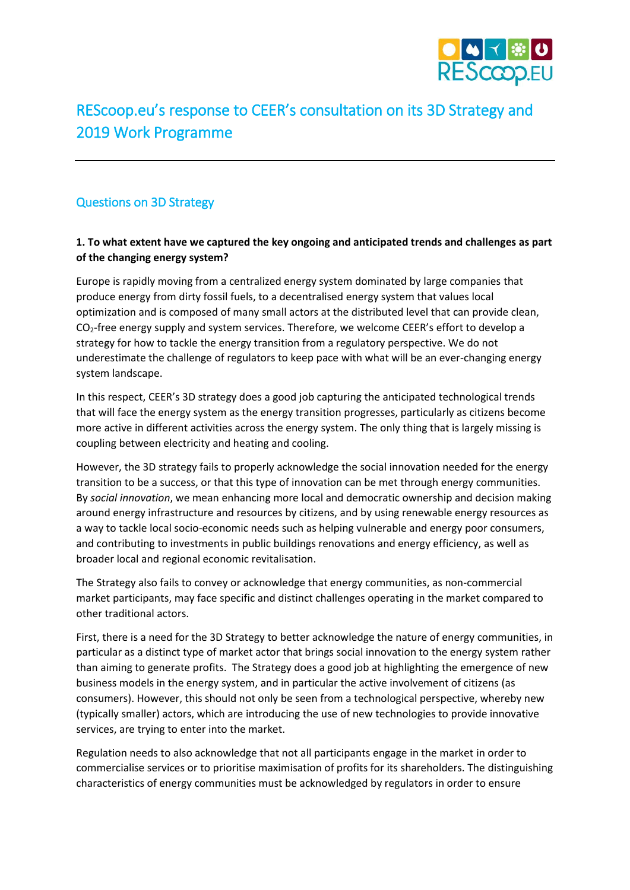

# REScoop.eu's response to CEER's consultation on its 3D Strategy and 2019 Work Programme

## Questions on 3D Strategy

#### **1. To what extent have we captured the key ongoing and anticipated trends and challenges as part of the changing energy system?**

Europe is rapidly moving from a centralized energy system dominated by large companies that produce energy from dirty fossil fuels, to a decentralised energy system that values local optimization and is composed of many small actors at the distributed level that can provide clean,  $CO<sub>2</sub>$ -free energy supply and system services. Therefore, we welcome CEER's effort to develop a strategy for how to tackle the energy transition from a regulatory perspective. We do not underestimate the challenge of regulators to keep pace with what will be an ever-changing energy system landscape.

In this respect, CEER's 3D strategy does a good job capturing the anticipated technological trends that will face the energy system as the energy transition progresses, particularly as citizens become more active in different activities across the energy system. The only thing that is largely missing is coupling between electricity and heating and cooling.

However, the 3D strategy fails to properly acknowledge the social innovation needed for the energy transition to be a success, or that this type of innovation can be met through energy communities. By *social innovation*, we mean enhancing more local and democratic ownership and decision making around energy infrastructure and resources by citizens, and by using renewable energy resources as a way to tackle local socio-economic needs such as helping vulnerable and energy poor consumers, and contributing to investments in public buildings renovations and energy efficiency, as well as broader local and regional economic revitalisation.

The Strategy also fails to convey or acknowledge that energy communities, as non-commercial market participants, may face specific and distinct challenges operating in the market compared to other traditional actors.

First, there is a need for the 3D Strategy to better acknowledge the nature of energy communities, in particular as a distinct type of market actor that brings social innovation to the energy system rather than aiming to generate profits. The Strategy does a good job at highlighting the emergence of new business models in the energy system, and in particular the active involvement of citizens (as consumers). However, this should not only be seen from a technological perspective, whereby new (typically smaller) actors, which are introducing the use of new technologies to provide innovative services, are trying to enter into the market.

Regulation needs to also acknowledge that not all participants engage in the market in order to commercialise services or to prioritise maximisation of profits for its shareholders. The distinguishing characteristics of energy communities must be acknowledged by regulators in order to ensure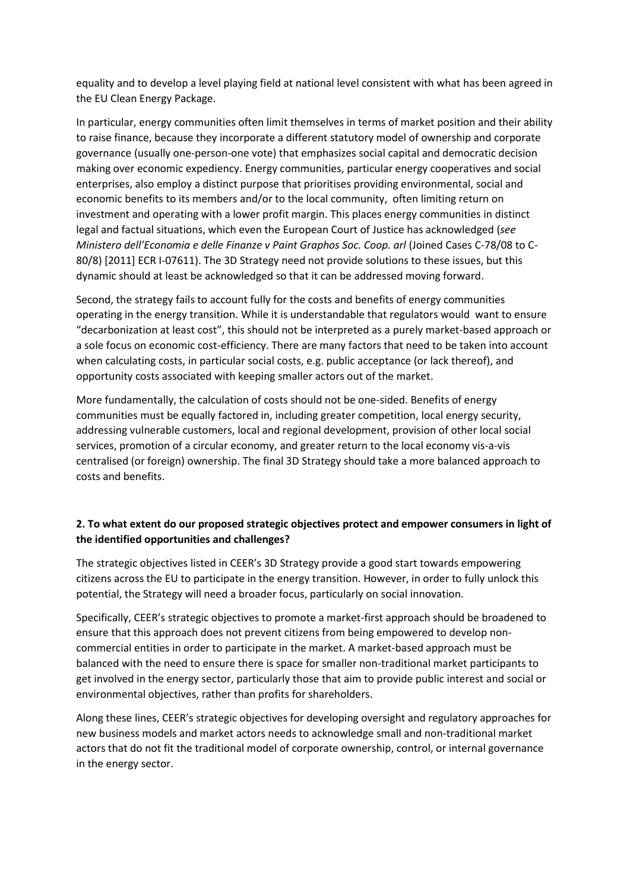equality and to develop a level playing field at national level consistent with what has been agreed in the EU Clean Energy Package.

In particular, energy communities often limit themselves in terms of market position and their ability to raise finance, because they incorporate a different statutory model of ownership and corporate governance (usually one-person-one vote) that emphasizes social capital and democratic decision making over economic expediency. Energy communities, particular energy cooperatives and social enterprises, also employ a distinct purpose that prioritises providing environmental, social and economic benefits to its members and/or to the local community, often limiting return on investment and operating with a lower profit margin. This places energy communities in distinct legal and factual situations, which even the European Court of Justice has acknowledged (*see Ministero dell'Economia e delle Finanze v Paint Graphos Soc. Coop. arl* (Joined Cases C-78/08 to C-80/8) [2011] ECR I-07611). The 3D Strategy need not provide solutions to these issues, but this dynamic should at least be acknowledged so that it can be addressed moving forward.

Second, the strategy fails to account fully for the costs and benefits of energy communities operating in the energy transition. While it is understandable that regulators would want to ensure "decarbonization at least cost", this should not be interpreted as a purely market-based approach or a sole focus on economic cost-efficiency. There are many factors that need to be taken into account when calculating costs, in particular social costs, e.g. public acceptance (or lack thereof), and opportunity costs associated with keeping smaller actors out of the market.

More fundamentally, the calculation of costs should not be one-sided. Benefits of energy communities must be equally factored in, including greater competition, local energy security, addressing vulnerable customers, local and regional development, provision of other local social services, promotion of a circular economy, and greater return to the local economy vis-a-vis centralised (or foreign) ownership. The final 3D Strategy should take a more balanced approach to costs and benefits.

### **2. To what extent do our proposed strategic objectives protect and empower consumers in light of the identified opportunities and challenges?**

The strategic objectives listed in CEER's 3D Strategy provide a good start towards empowering citizens across the EU to participate in the energy transition. However, in order to fully unlock this potential, the Strategy will need a broader focus, particularly on social innovation.

Specifically, CEER's strategic objectives to promote a market-first approach should be broadened to ensure that this approach does not prevent citizens from being empowered to develop noncommercial entities in order to participate in the market. A market-based approach must be balanced with the need to ensure there is space for smaller non-traditional market participants to get involved in the energy sector, particularly those that aim to provide public interest and social or environmental objectives, rather than profits for shareholders.

Along these lines, CEER's strategic objectives for developing oversight and regulatory approaches for new business models and market actors needs to acknowledge small and non-traditional market actors that do not fit the traditional model of corporate ownership, control, or internal governance in the energy sector.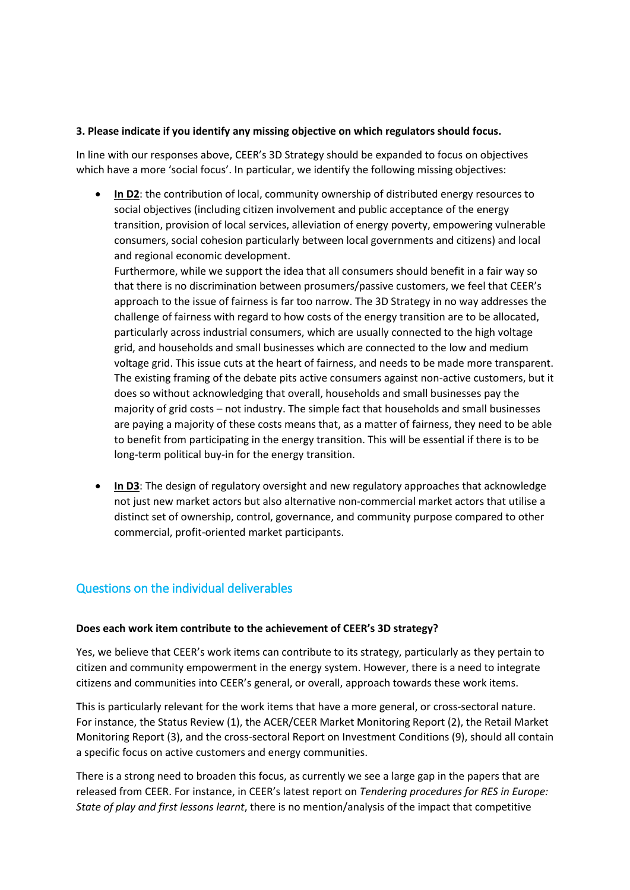#### **3. Please indicate if you identify any missing objective on which regulators should focus.**

In line with our responses above, CEER's 3D Strategy should be expanded to focus on objectives which have a more 'social focus'. In particular, we identify the following missing objectives:

• **In D2**: the contribution of local, community ownership of distributed energy resources to social objectives (including citizen involvement and public acceptance of the energy transition, provision of local services, alleviation of energy poverty, empowering vulnerable consumers, social cohesion particularly between local governments and citizens) and local and regional economic development.

Furthermore, while we support the idea that all consumers should benefit in a fair way so that there is no discrimination between prosumers/passive customers, we feel that CEER's approach to the issue of fairness is far too narrow. The 3D Strategy in no way addresses the challenge of fairness with regard to how costs of the energy transition are to be allocated, particularly across industrial consumers, which are usually connected to the high voltage grid, and households and small businesses which are connected to the low and medium voltage grid. This issue cuts at the heart of fairness, and needs to be made more transparent. The existing framing of the debate pits active consumers against non-active customers, but it does so without acknowledging that overall, households and small businesses pay the majority of grid costs – not industry. The simple fact that households and small businesses are paying a majority of these costs means that, as a matter of fairness, they need to be able to benefit from participating in the energy transition. This will be essential if there is to be long-term political buy-in for the energy transition.

• **In D3**: The design of regulatory oversight and new regulatory approaches that acknowledge not just new market actors but also alternative non-commercial market actors that utilise a distinct set of ownership, control, governance, and community purpose compared to other commercial, profit-oriented market participants.

## Questions on the individual deliverables

#### **Does each work item contribute to the achievement of CEER's 3D strategy?**

Yes, we believe that CEER's work items can contribute to its strategy, particularly as they pertain to citizen and community empowerment in the energy system. However, there is a need to integrate citizens and communities into CEER's general, or overall, approach towards these work items.

This is particularly relevant for the work items that have a more general, or cross-sectoral nature. For instance, the Status Review (1), the ACER/CEER Market Monitoring Report (2), the Retail Market Monitoring Report (3), and the cross-sectoral Report on Investment Conditions (9), should all contain a specific focus on active customers and energy communities.

There is a strong need to broaden this focus, as currently we see a large gap in the papers that are released from CEER. For instance, in CEER's latest report on *Tendering procedures for RES in Europe: State of play and first lessons learnt*, there is no mention/analysis of the impact that competitive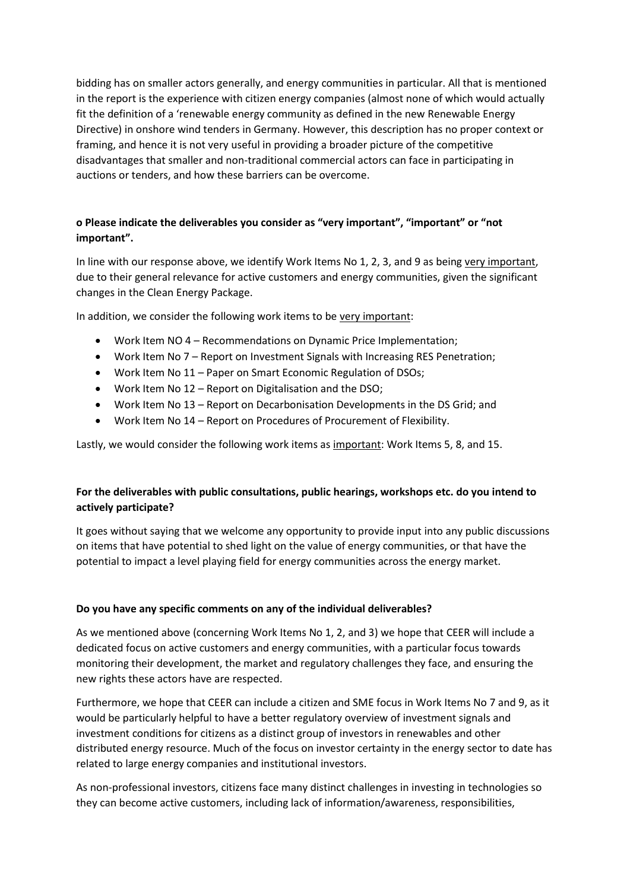bidding has on smaller actors generally, and energy communities in particular. All that is mentioned in the report is the experience with citizen energy companies (almost none of which would actually fit the definition of a 'renewable energy community as defined in the new Renewable Energy Directive) in onshore wind tenders in Germany. However, this description has no proper context or framing, and hence it is not very useful in providing a broader picture of the competitive disadvantages that smaller and non-traditional commercial actors can face in participating in auctions or tenders, and how these barriers can be overcome.

## **o Please indicate the deliverables you consider as "very important", "important" or "not important".**

In line with our response above, we identify Work Items No 1, 2, 3, and 9 as being very important, due to their general relevance for active customers and energy communities, given the significant changes in the Clean Energy Package.

In addition, we consider the following work items to be very important:

- Work Item NO 4 Recommendations on Dynamic Price Implementation;
- Work Item No 7 Report on Investment Signals with Increasing RES Penetration;
- Work Item No 11 Paper on Smart Economic Regulation of DSOs;
- Work Item No 12 Report on Digitalisation and the DSO;
- Work Item No 13 Report on Decarbonisation Developments in the DS Grid; and
- Work Item No 14 Report on Procedures of Procurement of Flexibility.

Lastly, we would consider the following work items as important: Work Items 5, 8, and 15.

### **For the deliverables with public consultations, public hearings, workshops etc. do you intend to actively participate?**

It goes without saying that we welcome any opportunity to provide input into any public discussions on items that have potential to shed light on the value of energy communities, or that have the potential to impact a level playing field for energy communities across the energy market.

#### **Do you have any specific comments on any of the individual deliverables?**

As we mentioned above (concerning Work Items No 1, 2, and 3) we hope that CEER will include a dedicated focus on active customers and energy communities, with a particular focus towards monitoring their development, the market and regulatory challenges they face, and ensuring the new rights these actors have are respected.

Furthermore, we hope that CEER can include a citizen and SME focus in Work Items No 7 and 9, as it would be particularly helpful to have a better regulatory overview of investment signals and investment conditions for citizens as a distinct group of investors in renewables and other distributed energy resource. Much of the focus on investor certainty in the energy sector to date has related to large energy companies and institutional investors.

As non-professional investors, citizens face many distinct challenges in investing in technologies so they can become active customers, including lack of information/awareness, responsibilities,